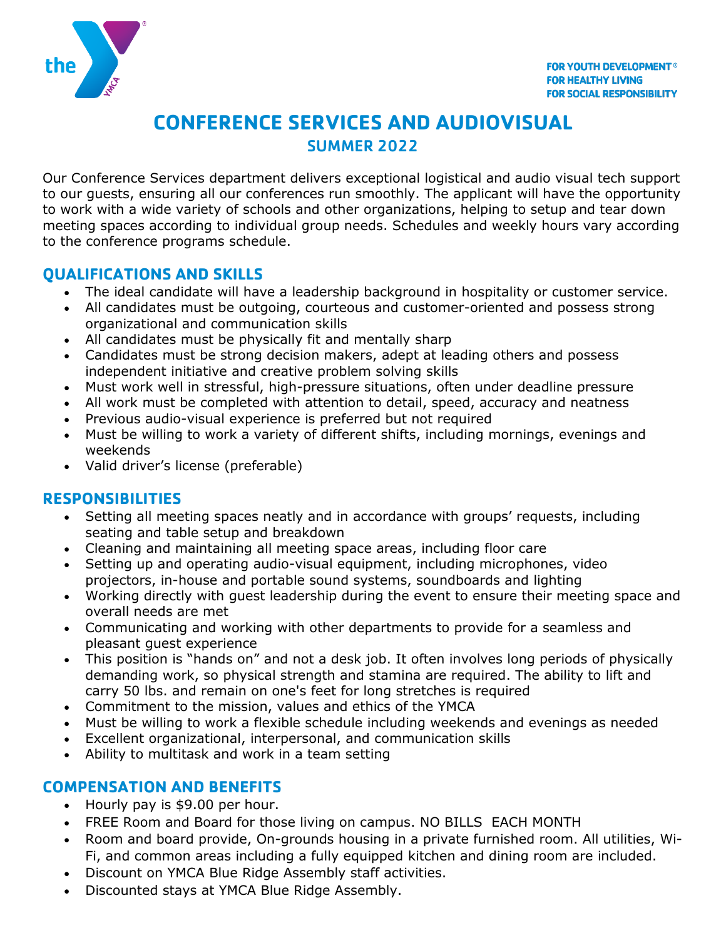

# **CONFERENCE SERVICES AND AUDIOVISUAL** SUMMER 2022

Our Conference Services department delivers exceptional logistical and audio visual tech support to our guests, ensuring all our conferences run smoothly. The applicant will have the opportunity to work with a wide variety of schools and other organizations, helping to setup and tear down meeting spaces according to individual group needs. Schedules and weekly hours vary according to the conference programs schedule.

### **QUALIFICATIONS AND SKILLS**

- The ideal candidate will have a leadership background in hospitality or customer service.
- All candidates must be outgoing, courteous and customer-oriented and possess strong organizational and communication skills
- All candidates must be physically fit and mentally sharp
- Candidates must be strong decision makers, adept at leading others and possess independent initiative and creative problem solving skills
- Must work well in stressful, high-pressure situations, often under deadline pressure
- All work must be completed with attention to detail, speed, accuracy and neatness
- Previous audio-visual experience is preferred but not required
- Must be willing to work a variety of different shifts, including mornings, evenings and weekends
- Valid driver's license (preferable)

#### **RESPONSIBILITIES**

- Setting all meeting spaces neatly and in accordance with groups' requests, including seating and table setup and breakdown
- Cleaning and maintaining all meeting space areas, including floor care
- Setting up and operating audio-visual equipment, including microphones, video projectors, in-house and portable sound systems, soundboards and lighting
- Working directly with guest leadership during the event to ensure their meeting space and overall needs are met
- Communicating and working with other departments to provide for a seamless and pleasant guest experience
- This position is "hands on" and not a desk job. It often involves long periods of physically demanding work, so physical strength and stamina are required. The ability to lift and carry 50 lbs. and remain on one's feet for long stretches is required
- Commitment to the mission, values and ethics of the YMCA
- Must be willing to work a flexible schedule including weekends and evenings as needed
- Excellent organizational, interpersonal, and communication skills
- Ability to multitask and work in a team setting

#### **COMPENSATION AND BENEFITS**

- Hourly pay is \$9.00 per hour.
- FREE Room and Board for those living on campus. NO BILLS EACH MONTH
- Room and board provide, On-grounds housing in a private furnished room. All utilities, Wi-Fi, and common areas including a fully equipped kitchen and dining room are included.
- Discount on YMCA Blue Ridge Assembly staff activities.
- Discounted stays at YMCA Blue Ridge Assembly.